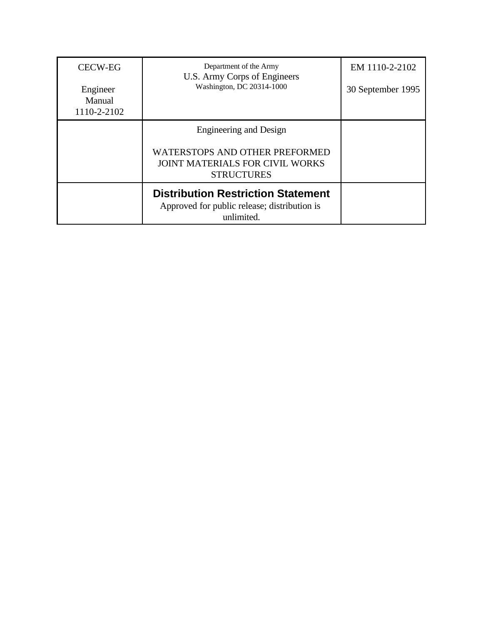| <b>CECW-EG</b>                    | Department of the Army<br>U.S. Army Corps of Engineers<br>Washington, DC 20314-1000                     | EM 1110-2-2102    |
|-----------------------------------|---------------------------------------------------------------------------------------------------------|-------------------|
| Engineer<br>Manual<br>1110-2-2102 |                                                                                                         | 30 September 1995 |
|                                   | Engineering and Design                                                                                  |                   |
|                                   | WATERSTOPS AND OTHER PREFORMED<br><b>JOINT MATERIALS FOR CIVIL WORKS</b><br><b>STRUCTURES</b>           |                   |
|                                   | <b>Distribution Restriction Statement</b><br>Approved for public release; distribution is<br>unlimited. |                   |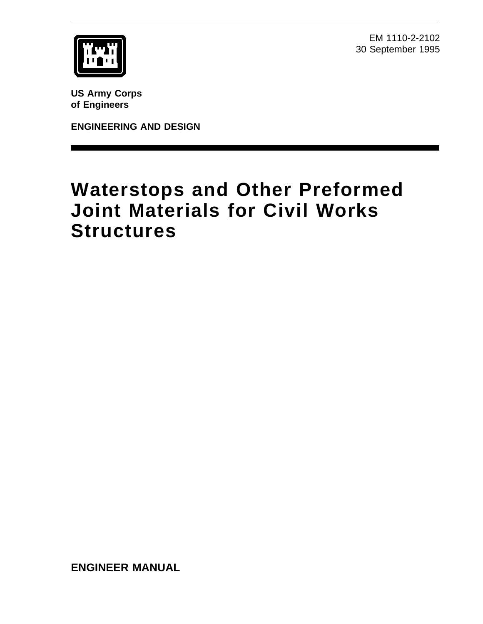EM 1110-2-2102 30 September 1995



**US Army Corps of Engineers**

**ENGINEERING AND DESIGN**

# **Waterstops and Other Preformed Joint Materials for Civil Works Structures**

**ENGINEER MANUAL**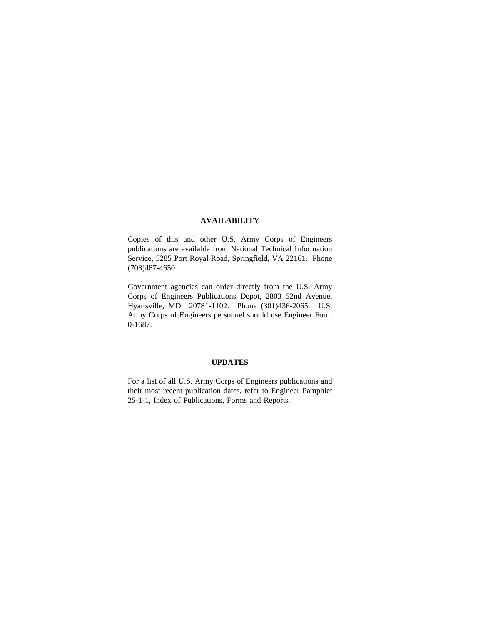#### **AVAILABILITY**

Copies of this and other U.S. Army Corps of Engineers publications are available from National Technical Information Service, 5285 Port Royal Road, Springfield, VA 22161. Phone (703)487-4650.

Government agencies can order directly from the U.S. Army Corps of Engineers Publications Depot, 2803 52nd Avenue, Hyattsville, MD 20781-1102. Phone (301)436-2065. U.S. Army Corps of Engineers personnel should use Engineer Form 0-1687.

#### **UPDATES**

For a list of all U.S. Army Corps of Engineers publications and their most recent publication dates, refer to Engineer Pamphlet 25-1-1, Index of Publications, Forms and Reports.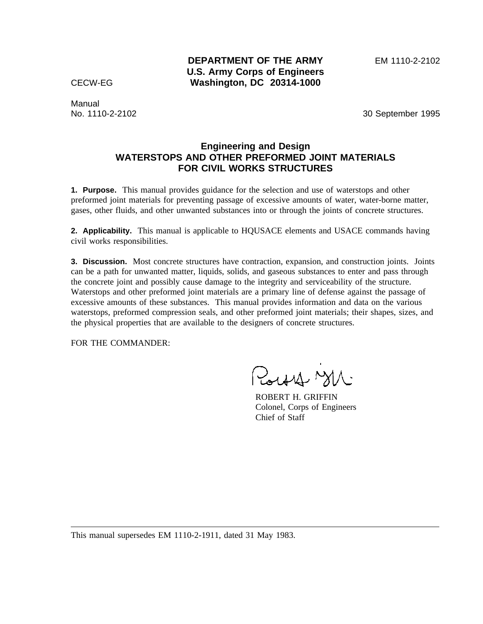**DEPARTMENT OF THE ARMY** EM 1110-2-2102 **U.S. Army Corps of Engineers** CECW-EG **Washington, DC 20314-1000**

Manual

No. 1110-2-2102 30 September 1995

# **Engineering and Design WATERSTOPS AND OTHER PREFORMED JOINT MATERIALS FOR CIVIL WORKS STRUCTURES**

**1. Purpose.** This manual provides guidance for the selection and use of waterstops and other preformed joint materials for preventing passage of excessive amounts of water, water-borne matter, gases, other fluids, and other unwanted substances into or through the joints of concrete structures.

**2. Applicability.** This manual is applicable to HQUSACE elements and USACE commands having civil works responsibilities.

**3. Discussion.** Most concrete structures have contraction, expansion, and construction joints. Joints can be a path for unwanted matter, liquids, solids, and gaseous substances to enter and pass through the concrete joint and possibly cause damage to the integrity and serviceability of the structure. Waterstops and other preformed joint materials are a primary line of defense against the passage of excessive amounts of these substances. This manual provides information and data on the various waterstops, preformed compression seals, and other preformed joint materials; their shapes, sizes, and the physical properties that are available to the designers of concrete structures.

FOR THE COMMANDER:

Pough Mr

ROBERT H. GRIFFIN Colonel, Corps of Engineers Chief of Staff

This manual supersedes EM 1110-2-1911, dated 31 May 1983.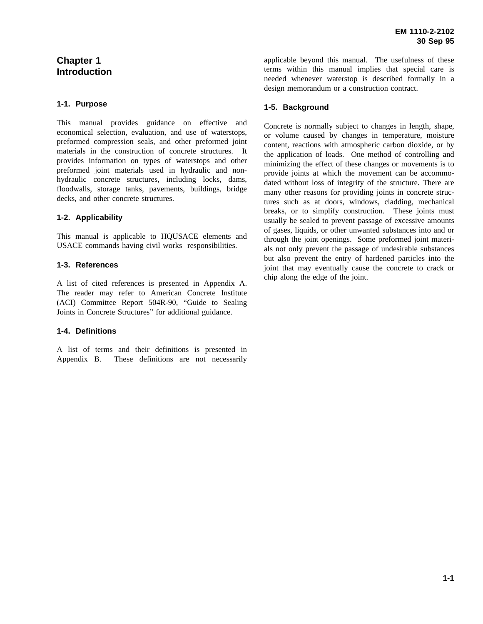# **Chapter 1 Introduction**

## **1-1. Purpose**

This manual provides guidance on effective and economical selection, evaluation, and use of waterstops, preformed compression seals, and other preformed joint materials in the construction of concrete structures. It provides information on types of waterstops and other preformed joint materials used in hydraulic and nonhydraulic concrete structures, including locks, dams, floodwalls, storage tanks, pavements, buildings, bridge decks, and other concrete structures.

## **1-2. Applicability**

This manual is applicable to HQUSACE elements and USACE commands having civil works responsibilities.

## **1-3. References**

A list of cited references is presented in Appendix A. The reader may refer to American Concrete Institute (ACI) Committee Report 504R-90, "Guide to Sealing Joints in Concrete Structures" for additional guidance.

#### **1-4. Definitions**

A list of terms and their definitions is presented in Appendix B. These definitions are not necessarily applicable beyond this manual. The usefulness of these terms within this manual implies that special care is needed whenever waterstop is described formally in a design memorandum or a construction contract.

#### **1-5. Background**

Concrete is normally subject to changes in length, shape, or volume caused by changes in temperature, moisture content, reactions with atmospheric carbon dioxide, or by the application of loads. One method of controlling and minimizing the effect of these changes or movements is to provide joints at which the movement can be accommodated without loss of integrity of the structure. There are many other reasons for providing joints in concrete structures such as at doors, windows, cladding, mechanical breaks, or to simplify construction. These joints must usually be sealed to prevent passage of excessive amounts of gases, liquids, or other unwanted substances into and or through the joint openings. Some preformed joint materials not only prevent the passage of undesirable substances but also prevent the entry of hardened particles into the joint that may eventually cause the concrete to crack or chip along the edge of the joint.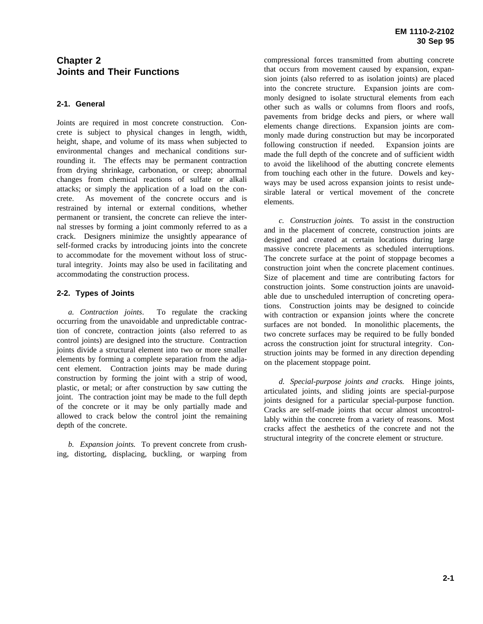# **Chapter 2 Joints and Their Functions**

## **2-1. General**

Joints are required in most concrete construction. Concrete is subject to physical changes in length, width, height, shape, and volume of its mass when subjected to environmental changes and mechanical conditions surrounding it. The effects may be permanent contraction from drying shrinkage, carbonation, or creep; abnormal changes from chemical reactions of sulfate or alkali attacks; or simply the application of a load on the concrete. As movement of the concrete occurs and is restrained by internal or external conditions, whether permanent or transient, the concrete can relieve the internal stresses by forming a joint commonly referred to as a crack. Designers minimize the unsightly appearance of self-formed cracks by introducing joints into the concrete to accommodate for the movement without loss of structural integrity. Joints may also be used in facilitating and accommodating the construction process.

#### **2-2. Types of Joints**

*a. Contraction joints*. To regulate the cracking occurring from the unavoidable and unpredictable contraction of concrete, contraction joints (also referred to as control joints) are designed into the structure. Contraction joints divide a structural element into two or more smaller elements by forming a complete separation from the adjacent element. Contraction joints may be made during construction by forming the joint with a strip of wood, plastic, or metal; or after construction by saw cutting the joint. The contraction joint may be made to the full depth of the concrete or it may be only partially made and allowed to crack below the control joint the remaining depth of the concrete.

*b. Expansion joints.* To prevent concrete from crushing, distorting, displacing, buckling, or warping from compressional forces transmitted from abutting concrete that occurs from movement caused by expansion, expansion joints (also referred to as isolation joints) are placed into the concrete structure. Expansion joints are commonly designed to isolate structural elements from each other such as walls or columns from floors and roofs, pavements from bridge decks and piers, or where wall elements change directions. Expansion joints are commonly made during construction but may be incorporated following construction if needed. Expansion joints are made the full depth of the concrete and of sufficient width to avoid the likelihood of the abutting concrete elements from touching each other in the future. Dowels and keyways may be used across expansion joints to resist undesirable lateral or vertical movement of the concrete elements.

*c. Construction joints.* To assist in the construction and in the placement of concrete, construction joints are designed and created at certain locations during large massive concrete placements as scheduled interruptions. The concrete surface at the point of stoppage becomes a construction joint when the concrete placement continues. Size of placement and time are contributing factors for construction joints. Some construction joints are unavoidable due to unscheduled interruption of concreting operations. Construction joints may be designed to coincide with contraction or expansion joints where the concrete surfaces are not bonded. In monolithic placements, the two concrete surfaces may be required to be fully bonded across the construction joint for structural integrity. Construction joints may be formed in any direction depending on the placement stoppage point.

*d. Special-purpose joints and cracks.* Hinge joints, articulated joints, and sliding joints are special-purpose joints designed for a particular special-purpose function. Cracks are self-made joints that occur almost uncontrollably within the concrete from a variety of reasons. Most cracks affect the aesthetics of the concrete and not the structural integrity of the concrete element or structure.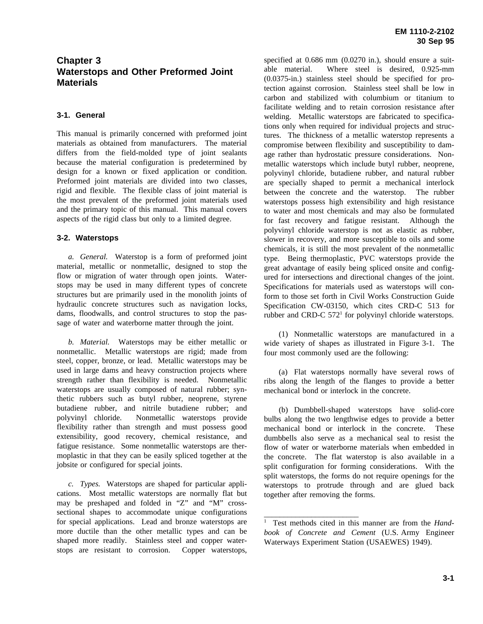# **Chapter 3 Waterstops and Other Preformed Joint Materials**

# **3-1. General**

This manual is primarily concerned with preformed joint materials as obtained from manufacturers. The material differs from the field-molded type of joint sealants because the material configuration is predetermined by design for a known or fixed application or condition. Preformed joint materials are divided into two classes, rigid and flexible. The flexible class of joint material is the most prevalent of the preformed joint materials used and the primary topic of this manual. This manual covers aspects of the rigid class but only to a limited degree.

## **3-2. Waterstops**

*a. General.* Waterstop is a form of preformed joint material, metallic or nonmetallic, designed to stop the flow or migration of water through open joints. Waterstops may be used in many different types of concrete structures but are primarily used in the monolith joints of hydraulic concrete structures such as navigation locks, dams, floodwalls, and control structures to stop the passage of water and waterborne matter through the joint.

*b. Material.* Waterstops may be either metallic or nonmetallic. Metallic waterstops are rigid; made from steel, copper, bronze, or lead. Metallic waterstops may be used in large dams and heavy construction projects where strength rather than flexibility is needed. Nonmetallic waterstops are usually composed of natural rubber; synthetic rubbers such as butyl rubber, neoprene, styrene butadiene rubber, and nitrile butadiene rubber; and polyvinyl chloride. Nonmetallic waterstops provide flexibility rather than strength and must possess good extensibility, good recovery, chemical resistance, and fatigue resistance. Some nonmetallic waterstops are thermoplastic in that they can be easily spliced together at the jobsite or configured for special joints.

*c. Types.* Waterstops are shaped for particular applications. Most metallic waterstops are normally flat but may be preshaped and folded in "Z" and "M" crosssectional shapes to accommodate unique configurations for special applications. Lead and bronze waterstops are more ductile than the other metallic types and can be shaped more readily. Stainless steel and copper waterstops are resistant to corrosion. Copper waterstops,

specified at 0.686 mm (0.0270 in.), should ensure a suitable material. Where steel is desired, 0.925-mm (0.0375-in.) stainless steel should be specified for protection against corrosion. Stainless steel shall be low in carbon and stabilized with columbium or titanium to facilitate welding and to retain corrosion resistance after welding. Metallic waterstops are fabricated to specifications only when required for individual projects and structures. The thickness of a metallic waterstop represents a compromise between flexibility and susceptibility to damage rather than hydrostatic pressure considerations. Nonmetallic waterstops which include butyl rubber, neoprene, polyvinyl chloride, butadiene rubber, and natural rubber are specially shaped to permit a mechanical interlock between the concrete and the waterstop. The rubber waterstops possess high extensibility and high resistance to water and most chemicals and may also be formulated for fast recovery and fatigue resistant. Although the polyvinyl chloride waterstop is not as elastic as rubber, slower in recovery, and more susceptible to oils and some chemicals, it is still the most prevalent of the nonmetallic type. Being thermoplastic, PVC waterstops provide the great advantage of easily being spliced onsite and configured for intersections and directional changes of the joint. Specifications for materials used as waterstops will conform to those set forth in Civil Works Construction Guide Specification CW-03150, which cites CRD-C 513 for rubber and CRD-C  $572<sup>1</sup>$  for polyvinyl chloride waterstops.

(1) Nonmetallic waterstops are manufactured in a wide variety of shapes as illustrated in Figure 3-1. The four most commonly used are the following:

(a) Flat waterstops normally have several rows of ribs along the length of the flanges to provide a better mechanical bond or interlock in the concrete.

(b) Dumbbell-shaped waterstops have solid-core bulbs along the two lengthwise edges to provide a better mechanical bond or interlock in the concrete. These dumbbells also serve as a mechanical seal to resist the flow of water or waterborne materials when embedded in the concrete. The flat waterstop is also available in a split configuration for forming considerations. With the split waterstops, the forms do not require openings for the waterstops to protrude through and are glued back together after removing the forms.

\_\_\_\_\_\_\_\_\_\_\_\_\_\_\_\_\_\_\_\_\_\_\_\_

<sup>1</sup> Test methods cited in this manner are from the *Handbook of Concrete and Cement* (U.S. Army Engineer Waterways Experiment Station (USAEWES) 1949).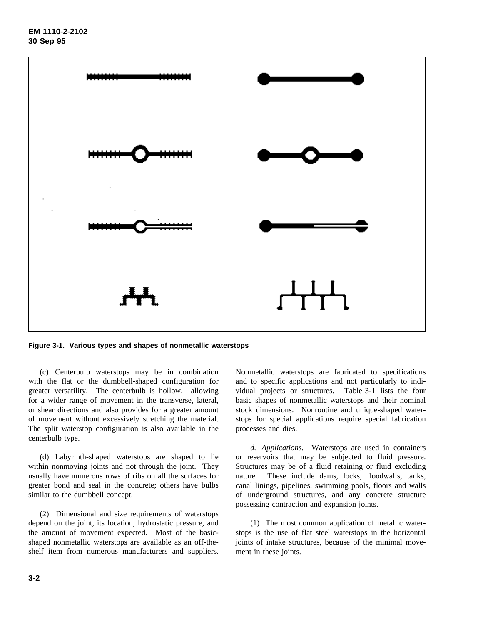

**Figure 3-1. Various types and shapes of nonmetallic waterstops**

(c) Centerbulb waterstops may be in combination with the flat or the dumbbell-shaped configuration for greater versatility. The centerbulb is hollow, allowing for a wider range of movement in the transverse, lateral, or shear directions and also provides for a greater amount of movement without excessively stretching the material. The split waterstop configuration is also available in the centerbulb type.

(d) Labyrinth-shaped waterstops are shaped to lie within nonmoving joints and not through the joint. They usually have numerous rows of ribs on all the surfaces for greater bond and seal in the concrete; others have bulbs similar to the dumbbell concept.

(2) Dimensional and size requirements of waterstops depend on the joint, its location, hydrostatic pressure, and the amount of movement expected. Most of the basicshaped nonmetallic waterstops are available as an off-theshelf item from numerous manufacturers and suppliers.

Nonmetallic waterstops are fabricated to specifications and to specific applications and not particularly to individual projects or structures. Table 3-1 lists the four basic shapes of nonmetallic waterstops and their nominal stock dimensions. Nonroutine and unique-shaped waterstops for special applications require special fabrication processes and dies.

*d. Applications*. Waterstops are used in containers or reservoirs that may be subjected to fluid pressure. Structures may be of a fluid retaining or fluid excluding nature. These include dams, locks, floodwalls, tanks, canal linings, pipelines, swimming pools, floors and walls of underground structures, and any concrete structure possessing contraction and expansion joints.

(1) The most common application of metallic waterstops is the use of flat steel waterstops in the horizontal joints of intake structures, because of the minimal movement in these joints.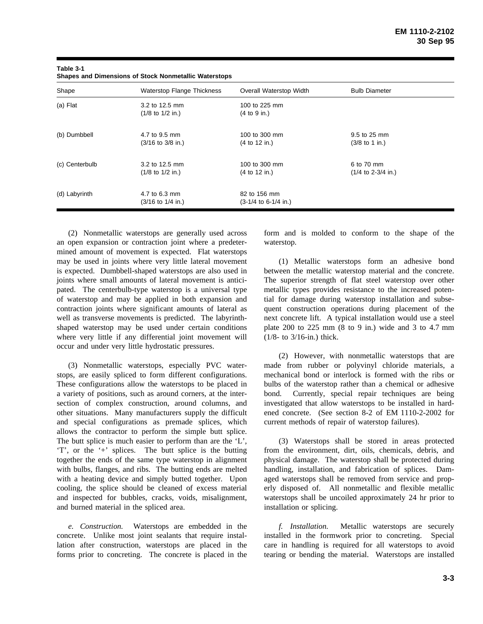| Shape          | <b>Waterstop Flange Thickness</b>                     | Overall Waterstop Width                 | <b>Bulb Diameter</b>                              |  |
|----------------|-------------------------------------------------------|-----------------------------------------|---------------------------------------------------|--|
| (a) Flat       | 3.2 to 12.5 mm<br>$(1/8$ to $1/2$ in.)                | 100 to 225 mm<br>(4 to 9 in.)           |                                                   |  |
| (b) Dumbbell   | 4.7 to 9.5 mm<br>$(3/16 \text{ to } 3/8 \text{ in.})$ | 100 to 300 mm<br>(4 to 12 in.)          | 9.5 to 25 mm<br>$(3/8 \text{ to } 1 \text{ in.})$ |  |
| (c) Centerbulb | 3.2 to 12.5 mm<br>$(1/8$ to $1/2$ in.)                | 100 to 300 mm<br>(4 to 12 in.)          | 6 to 70 mm<br>$(1/4$ to 2-3/4 in.)                |  |
| (d) Labyrinth  | 4.7 to 6.3 mm<br>(3/16 to 1/4 in.)                    | 82 to 156 mm<br>$(3-1/4)$ to 6-1/4 in.) |                                                   |  |

| Table 3-1                                                    |  |
|--------------------------------------------------------------|--|
| <b>Shapes and Dimensions of Stock Nonmetallic Waterstops</b> |  |

(2) Nonmetallic waterstops are generally used across an open expansion or contraction joint where a predetermined amount of movement is expected. Flat waterstops may be used in joints where very little lateral movement is expected. Dumbbell-shaped waterstops are also used in joints where small amounts of lateral movement is anticipated. The centerbulb-type waterstop is a universal type of waterstop and may be applied in both expansion and contraction joints where significant amounts of lateral as well as transverse movements is predicted. The labyrinthshaped waterstop may be used under certain conditions where very little if any differential joint movement will occur and under very little hydrostatic pressures.

(3) Nonmetallic waterstops, especially PVC waterstops, are easily spliced to form different configurations. These configurations allow the waterstops to be placed in a variety of positions, such as around corners, at the intersection of complex construction, around columns, and other situations. Many manufacturers supply the difficult and special configurations as premade splices, which allows the contractor to perform the simple butt splice. The butt splice is much easier to perform than are the 'L', 'T', or the '+' splices. The butt splice is the butting together the ends of the same type waterstop in alignment with bulbs, flanges, and ribs. The butting ends are melted with a heating device and simply butted together. Upon cooling, the splice should be cleaned of excess material and inspected for bubbles, cracks, voids, misalignment, and burned material in the spliced area.

*e. Construction.* Waterstops are embedded in the concrete. Unlike most joint sealants that require installation after construction, waterstops are placed in the forms prior to concreting. The concrete is placed in the form and is molded to conform to the shape of the waterstop.

(1) Metallic waterstops form an adhesive bond between the metallic waterstop material and the concrete. The superior strength of flat steel waterstop over other metallic types provides resistance to the increased potential for damage during waterstop installation and subsequent construction operations during placement of the next concrete lift. A typical installation would use a steel plate 200 to 225 mm (8 to 9 in.) wide and 3 to 4.7 mm (1/8- to 3/16-in.) thick.

(2) However, with nonmetallic waterstops that are made from rubber or polyvinyl chloride materials, a mechanical bond or interlock is formed with the ribs or bulbs of the waterstop rather than a chemical or adhesive bond. Currently, special repair techniques are being investigated that allow waterstops to be installed in hardened concrete. (See section 8-2 of EM 1110-2-2002 for current methods of repair of waterstop failures).

(3) Waterstops shall be stored in areas protected from the environment, dirt, oils, chemicals, debris, and physical damage. The waterstop shall be protected during handling, installation, and fabrication of splices. Damaged waterstops shall be removed from service and properly disposed of. All nonmetallic and flexible metallic waterstops shall be uncoiled approximately 24 hr prior to installation or splicing.

*f. Installation.* Metallic waterstops are securely installed in the formwork prior to concreting. Special care in handling is required for all waterstops to avoid tearing or bending the material. Waterstops are installed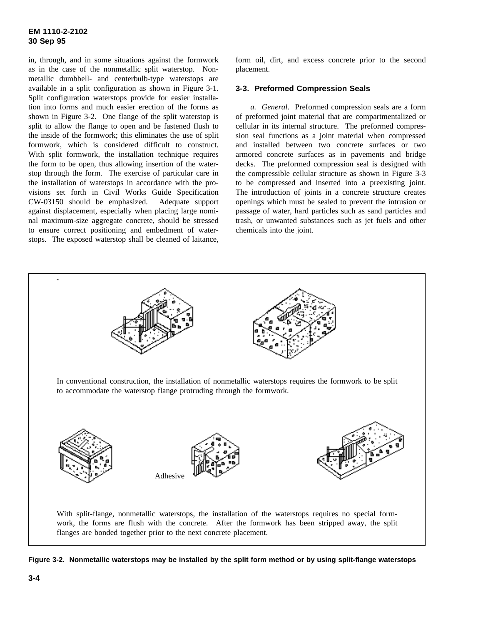in, through, and in some situations against the formwork as in the case of the nonmetallic split waterstop. Nonmetallic dumbbell- and centerbulb-type waterstops are available in a split configuration as shown in Figure 3-1. Split configuration waterstops provide for easier installation into forms and much easier erection of the forms as shown in Figure 3-2. One flange of the split waterstop is split to allow the flange to open and be fastened flush to the inside of the formwork; this eliminates the use of split formwork, which is considered difficult to construct. With split formwork, the installation technique requires the form to be open, thus allowing insertion of the waterstop through the form. The exercise of particular care in the installation of waterstops in accordance with the provisions set forth in Civil Works Guide Specification CW-03150 should be emphasized. Adequate support against displacement, especially when placing large nominal maximum-size aggregate concrete, should be stressed to ensure correct positioning and embedment of waterstops. The exposed waterstop shall be cleaned of laitance,

form oil, dirt, and excess concrete prior to the second placement.

#### **3-3. Preformed Compression Seals**

*a. General*. Preformed compression seals are a form of preformed joint material that are compartmentalized or cellular in its internal structure. The preformed compression seal functions as a joint material when compressed and installed between two concrete surfaces or two armored concrete surfaces as in pavements and bridge decks. The preformed compression seal is designed with the compressible cellular structure as shown in Figure 3-3 to be compressed and inserted into a preexisting joint. The introduction of joints in a concrete structure creates openings which must be sealed to prevent the intrusion or passage of water, hard particles such as sand particles and trash, or unwanted substances such as jet fuels and other chemicals into the joint.



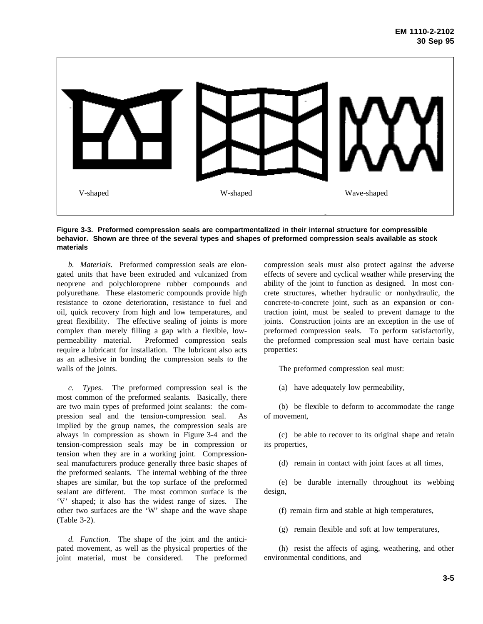

**Figure 3-3. Preformed compression seals are compartmentalized in their internal structure for compressible behavior. Shown are three of the several types and shapes of preformed compression seals available as stock materials**

*b. Materials.* Preformed compression seals are elongated units that have been extruded and vulcanized from neoprene and polychloroprene rubber compounds and polyurethane. These elastomeric compounds provide high resistance to ozone deterioration, resistance to fuel and oil, quick recovery from high and low temperatures, and great flexibility. The effective sealing of joints is more complex than merely filling a gap with a flexible, lowpermeability material. Preformed compression seals require a lubricant for installation. The lubricant also acts as an adhesive in bonding the compression seals to the walls of the joints.

*c. Types*. The preformed compression seal is the most common of the preformed sealants. Basically, there are two main types of preformed joint sealants: the compression seal and the tension-compression seal. As implied by the group names, the compression seals are always in compression as shown in Figure 3-4 and the tension-compression seals may be in compression or tension when they are in a working joint. Compressionseal manufacturers produce generally three basic shapes of the preformed sealants. The internal webbing of the three shapes are similar, but the top surface of the preformed sealant are different. The most common surface is the 'V' shaped; it also has the widest range of sizes. The other two surfaces are the 'W' shape and the wave shape (Table 3-2).

*d. Function.* The shape of the joint and the anticipated movement, as well as the physical properties of the joint material, must be considered. The preformed compression seals must also protect against the adverse effects of severe and cyclical weather while preserving the ability of the joint to function as designed. In most concrete structures, whether hydraulic or nonhydraulic, the concrete-to-concrete joint, such as an expansion or contraction joint, must be sealed to prevent damage to the joints. Construction joints are an exception in the use of preformed compression seals. To perform satisfactorily, the preformed compression seal must have certain basic properties:

The preformed compression seal must:

(a) have adequately low permeability,

(b) be flexible to deform to accommodate the range of movement,

(c) be able to recover to its original shape and retain its properties,

(d) remain in contact with joint faces at all times,

(e) be durable internally throughout its webbing design,

(f) remain firm and stable at high temperatures,

(g) remain flexible and soft at low temperatures,

(h) resist the affects of aging, weathering, and other environmental conditions, and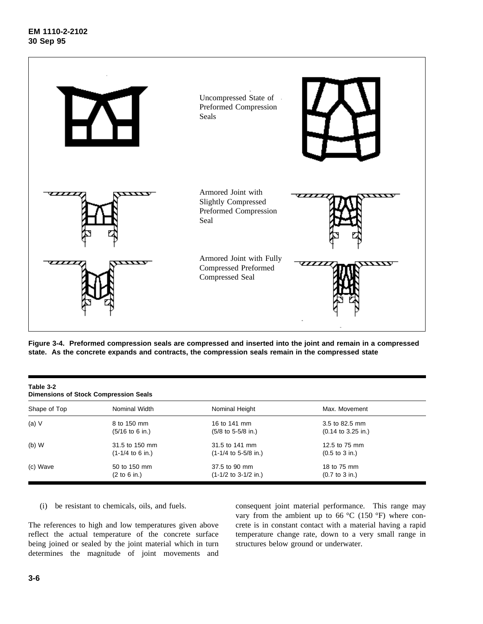

**Figure 3-4. Preformed compression seals are compressed and inserted into the joint and remain in a compressed state. As the concrete expands and contracts, the compression seals remain in the compressed state**

| Table 3-2<br><b>Dimensions of Stock Compression Seals</b> |                                                   |                                                       |                                                         |  |  |  |
|-----------------------------------------------------------|---------------------------------------------------|-------------------------------------------------------|---------------------------------------------------------|--|--|--|
| Shape of Top                                              | Nominal Width                                     | Nominal Height                                        | Max. Movement                                           |  |  |  |
| (a) $V$                                                   | 8 to 150 mm<br>$(5/16 \text{ to } 6 \text{ in.})$ | 16 to 141 mm<br>$(5/8 \text{ to } 5.5/8 \text{ in.})$ | 3.5 to 82.5 mm<br>$(0.14 \text{ to } 3.25 \text{ in.})$ |  |  |  |
| $(b)$ W                                                   | 31.5 to 150 mm<br>$(1-1/4$ to 6 in.)              | 31.5 to 141 mm<br>$(1-1/4$ to 5-5/8 in.)              | 12.5 to 75 mm<br>$(0.5 \text{ to } 3 \text{ in.})$      |  |  |  |
| (c) Wave                                                  | 50 to 150 mm<br>(2 to 6 in.)                      | 37.5 to 90 mm<br>$(1-1/2$ to 3-1/2 in.)               | 18 to 75 mm<br>$(0.7 \text{ to } 3 \text{ in.})$        |  |  |  |

(i) be resistant to chemicals, oils, and fuels.

The references to high and low temperatures given above reflect the actual temperature of the concrete surface being joined or sealed by the joint material which in turn determines the magnitude of joint movements and consequent joint material performance. This range may vary from the ambient up to 66  $^{\circ}$ C (150  $^{\circ}$ F) where concrete is in constant contact with a material having a rapid temperature change rate, down to a very small range in structures below ground or underwater.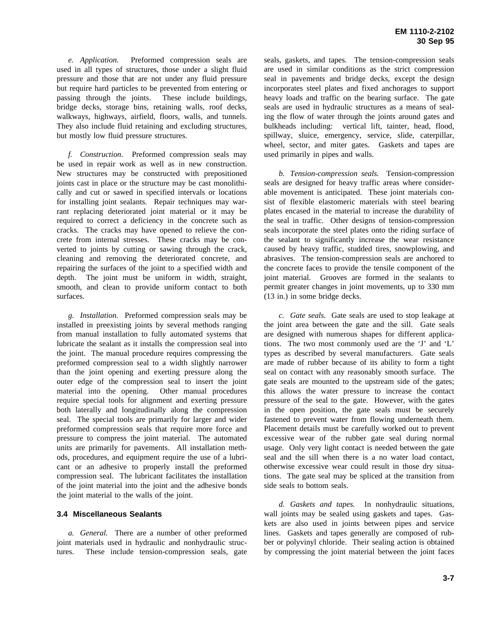*e. Application.* Preformed compression seals are used in all types of structures, those under a slight fluid pressure and those that are not under any fluid pressure but require hard particles to be prevented from entering or passing through the joints. These include buildings, bridge decks, storage bins, retaining walls, roof decks, walkways, highways, airfield, floors, walls, and tunnels. They also include fluid retaining and excluding structures, but mostly low fluid pressure structures.

*f. Construction*. Preformed compression seals may be used in repair work as well as in new construction. New structures may be constructed with prepositioned joints cast in place or the structure may be cast monolithically and cut or sawed in specified intervals or locations for installing joint sealants. Repair techniques may warrant replacing deteriorated joint material or it may be required to correct a deficiency in the concrete such as cracks. The cracks may have opened to relieve the concrete from internal stresses. These cracks may be converted to joints by cutting or sawing through the crack, cleaning and removing the deteriorated concrete, and repairing the surfaces of the joint to a specified width and depth. The joint must be uniform in width, straight, smooth, and clean to provide uniform contact to both surfaces.

*g. Installation.* Preformed compression seals may be installed in preexisting joints by several methods ranging from manual installation to fully automated systems that lubricate the sealant as it installs the compression seal into the joint. The manual procedure requires compressing the preformed compression seal to a width slightly narrower than the joint opening and exerting pressure along the outer edge of the compression seal to insert the joint material into the opening. Other manual procedures require special tools for alignment and exerting pressure both laterally and longitudinally along the compression seal. The special tools are primarily for larger and wider preformed compression seals that require more force and pressure to compress the joint material. The automated units are primarily for pavements. All installation methods, procedures, and equipment require the use of a lubricant or an adhesive to properly install the preformed compression seal. The lubricant facilitates the installation of the joint material into the joint and the adhesive bonds the joint material to the walls of the joint.

#### **3.4 Miscellaneous Sealants**

*a. General.* There are a number of other preformed joint materials used in hydraulic and nonhydraulic structures. These include tension-compression seals, gate seals, gaskets, and tapes. The tension-compression seals are used in similar conditions as the strict compression seal in pavements and bridge decks, except the design incorporates steel plates and fixed anchorages to support heavy loads and traffic on the bearing surface. The gate seals are used in hydraulic structures as a means of sealing the flow of water through the joints around gates and bulkheads including: vertical lift, tainter, head, flood, spillway, sluice, emergency, service, slide, caterpillar, wheel, sector, and miter gates. Gaskets and tapes are used primarily in pipes and walls.

*b. Tension-compression seals.* Tension-compression seals are designed for heavy traffic areas where considerable movement is anticipated. These joint materials consist of flexible elastomeric materials with steel bearing plates encased in the material to increase the durability of the seal in traffic. Other designs of tension-compression seals incorporate the steel plates onto the riding surface of the sealant to significantly increase the wear resistance caused by heavy traffic, studded tires, snowplowing, and abrasives. The tension-compression seals are anchored to the concrete faces to provide the tensile component of the joint material. Grooves are formed in the sealants to permit greater changes in joint movements, up to 330 mm (13 in.) in some bridge decks.

*c. Gate seals.* Gate seals are used to stop leakage at the joint area between the gate and the sill. Gate seals are designed with numerous shapes for different applications. The two most commonly used are the 'J' and 'L' types as described by several manufacturers. Gate seals are made of rubber because of its ability to form a tight seal on contact with any reasonably smooth surface. The gate seals are mounted to the upstream side of the gates; this allows the water pressure to increase the contact pressure of the seal to the gate. However, with the gates in the open position, the gate seals must be securely fastened to prevent water from flowing underneath them. Placement details must be carefully worked out to prevent excessive wear of the rubber gate seal during normal usage. Only very light contact is needed between the gate seal and the sill when there is a no water load contact, otherwise excessive wear could result in those dry situations. The gate seal may be spliced at the transition from side seals to bottom seals.

*d. Gaskets and tapes.* In nonhydraulic situations, wall joints may be sealed using gaskets and tapes. Gaskets are also used in joints between pipes and service lines. Gaskets and tapes generally are composed of rubber or polyvinyl chloride. Their sealing action is obtained by compressing the joint material between the joint faces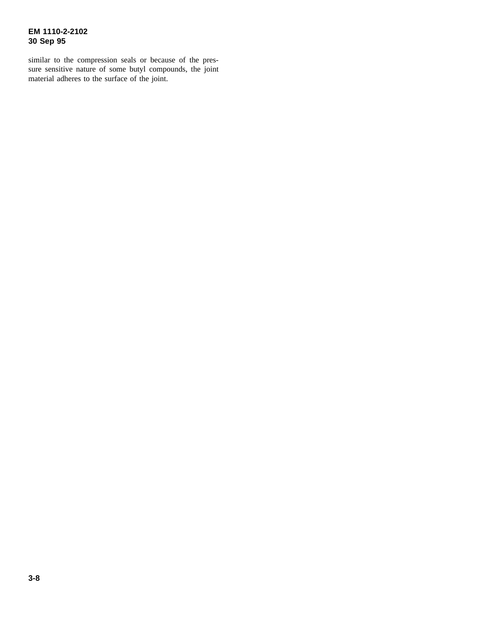# **EM 1110-2-2102 30 Sep 95**

similar to the compression seals or because of the pressure sensitive nature of some butyl compounds, the joint material adheres to the surface of the joint.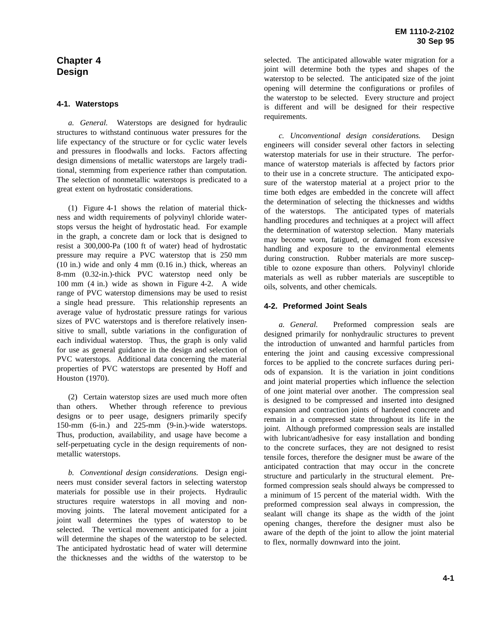# **Chapter 4 Design**

## **4-1. Waterstops**

*a. General.* Waterstops are designed for hydraulic structures to withstand continuous water pressures for the life expectancy of the structure or for cyclic water levels and pressures in floodwalls and locks. Factors affecting design dimensions of metallic waterstops are largely traditional, stemming from experience rather than computation. The selection of nonmetallic waterstops is predicated to a great extent on hydrostatic considerations.

(1) Figure 4-1 shows the relation of material thickness and width requirements of polyvinyl chloride waterstops versus the height of hydrostatic head. For example in the graph, a concrete dam or lock that is designed to resist a 300,000-Pa (100 ft of water) head of hydrostatic pressure may require a PVC waterstop that is 250 mm (10 in.) wide and only 4 mm (0.16 in.) thick, whereas an 8-mm (0.32-in.)-thick PVC waterstop need only be 100 mm (4 in.) wide as shown in Figure 4-2. A wide range of PVC waterstop dimensions may be used to resist a single head pressure. This relationship represents an average value of hydrostatic pressure ratings for various sizes of PVC waterstops and is therefore relatively insensitive to small, subtle variations in the configuration of each individual waterstop. Thus, the graph is only valid for use as general guidance in the design and selection of PVC waterstops. Additional data concerning the material properties of PVC waterstops are presented by Hoff and Houston (1970).

(2) Certain waterstop sizes are used much more often than others. Whether through reference to previous designs or to peer usage, designers primarily specify 150-mm (6-in.) and 225-mm (9-in.)-wide waterstops. Thus, production, availability, and usage have become a self-perpetuating cycle in the design requirements of nonmetallic waterstops.

*b. Conventional design considerations.* Design engineers must consider several factors in selecting waterstop materials for possible use in their projects. Hydraulic structures require waterstops in all moving and nonmoving joints. The lateral movement anticipated for a joint wall determines the types of waterstop to be selected. The vertical movement anticipated for a joint will determine the shapes of the waterstop to be selected. The anticipated hydrostatic head of water will determine the thicknesses and the widths of the waterstop to be

selected. The anticipated allowable water migration for a joint will determine both the types and shapes of the waterstop to be selected. The anticipated size of the joint opening will determine the configurations or profiles of the waterstop to be selected. Every structure and project is different and will be designed for their respective requirements.

*c. Unconventional design considerations.* Design engineers will consider several other factors in selecting waterstop materials for use in their structure. The performance of waterstop materials is affected by factors prior to their use in a concrete structure. The anticipated exposure of the waterstop material at a project prior to the time both edges are embedded in the concrete will affect the determination of selecting the thicknesses and widths of the waterstops. The anticipated types of materials handling procedures and techniques at a project will affect the determination of waterstop selection. Many materials may become worn, fatigued, or damaged from excessive handling and exposure to the environmental elements during construction. Rubber materials are more susceptible to ozone exposure than others. Polyvinyl chloride materials as well as rubber materials are susceptible to oils, solvents, and other chemicals.

# **4-2. Preformed Joint Seals**

*a. General.* Preformed compression seals are designed primarily for nonhydraulic structures to prevent the introduction of unwanted and harmful particles from entering the joint and causing excessive compressional forces to be applied to the concrete surfaces during periods of expansion. It is the variation in joint conditions and joint material properties which influence the selection of one joint material over another. The compression seal is designed to be compressed and inserted into designed expansion and contraction joints of hardened concrete and remain in a compressed state throughout its life in the joint. Although preformed compression seals are installed with lubricant/adhesive for easy installation and bonding to the concrete surfaces, they are not designed to resist tensile forces, therefore the designer must be aware of the anticipated contraction that may occur in the concrete structure and particularly in the structural element. Preformed compression seals should always be compressed to a minimum of 15 percent of the material width. With the preformed compression seal always in compression, the sealant will change its shape as the width of the joint opening changes, therefore the designer must also be aware of the depth of the joint to allow the joint material to flex, normally downward into the joint.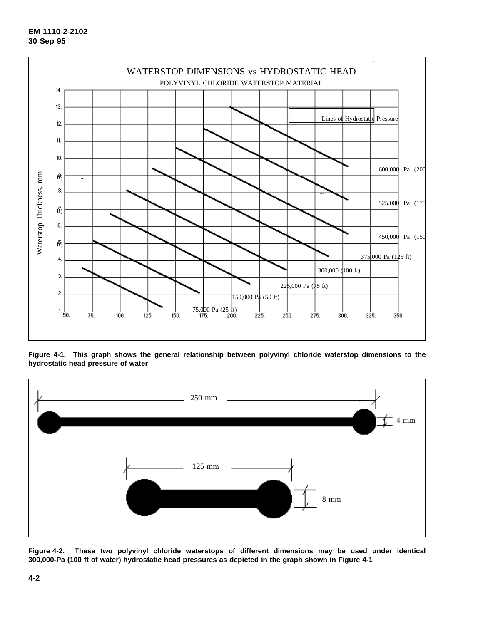

**Figure 4-1. This graph shows the general relationship between polyvinyl chloride waterstop dimensions to the hydrostatic head pressure of water**



**Figure 4-2. These two polyvinyl chloride waterstops of different dimensions may be used under identical 300,000-Pa (100 ft of water) hydrostatic head pressures as depicted in the graph shown in Figure 4-1**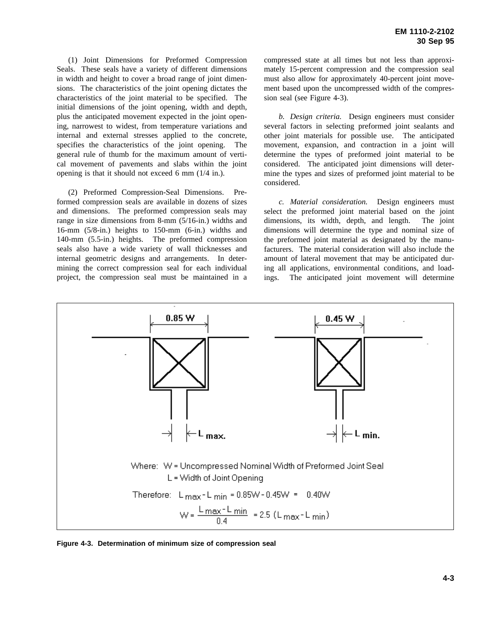(1) Joint Dimensions for Preformed Compression Seals. These seals have a variety of different dimensions in width and height to cover a broad range of joint dimensions. The characteristics of the joint opening dictates the characteristics of the joint material to be specified. The initial dimensions of the joint opening, width and depth, plus the anticipated movement expected in the joint opening, narrowest to widest, from temperature variations and internal and external stresses applied to the concrete, specifies the characteristics of the joint opening. The general rule of thumb for the maximum amount of vertical movement of pavements and slabs within the joint opening is that it should not exceed 6 mm (1/4 in.).

(2) Preformed Compression-Seal Dimensions. Preformed compression seals are available in dozens of sizes and dimensions. The preformed compression seals may range in size dimensions from 8-mm (5/16-in.) widths and 16-mm (5/8-in.) heights to 150-mm (6-in.) widths and 140-mm (5.5-in.) heights. The preformed compression seals also have a wide variety of wall thicknesses and internal geometric designs and arrangements. In determining the correct compression seal for each individual project, the compression seal must be maintained in a compressed state at all times but not less than approximately 15-percent compression and the compression seal must also allow for approximately 40-percent joint movement based upon the uncompressed width of the compression seal (see Figure 4-3).

*b. Design criteria.* Design engineers must consider several factors in selecting preformed joint sealants and other joint materials for possible use. The anticipated movement, expansion, and contraction in a joint will determine the types of preformed joint material to be considered. The anticipated joint dimensions will determine the types and sizes of preformed joint material to be considered.

*c. Material consideration.* Design engineers must select the preformed joint material based on the joint dimensions, its width, depth, and length. The joint dimensions will determine the type and nominal size of the preformed joint material as designated by the manufacturers. The material consideration will also include the amount of lateral movement that may be anticipated during all applications, environmental conditions, and loadings. The anticipated joint movement will determine



**Figure 4-3. Determination of minimum size of compression seal**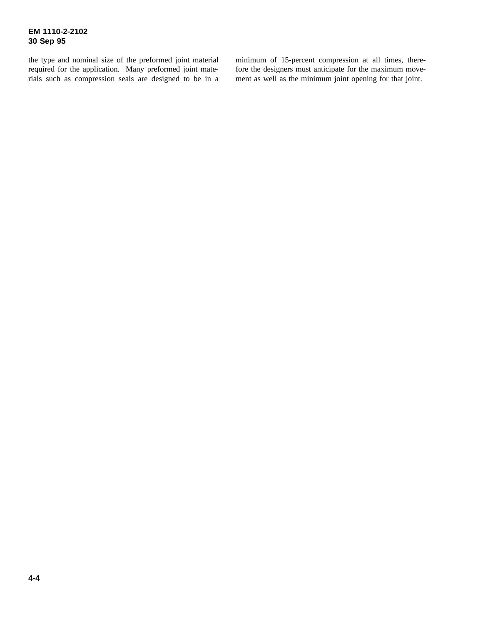the type and nominal size of the preformed joint material required for the application. Many preformed joint materials such as compression seals are designed to be in a minimum of 15-percent compression at all times, therefore the designers must anticipate for the maximum movement as well as the minimum joint opening for that joint.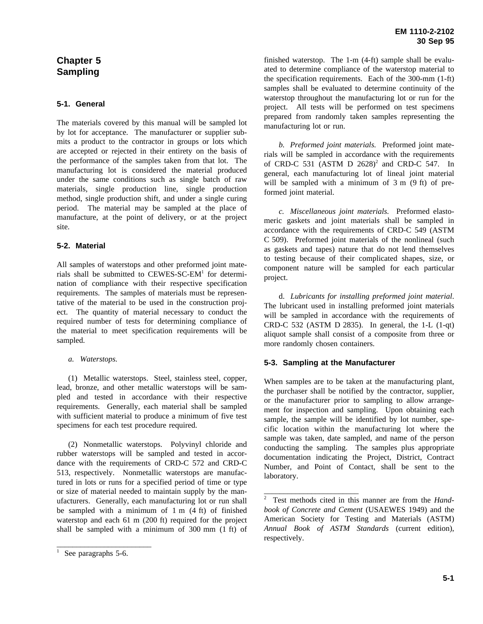# **Chapter 5 Sampling**

# **5-1. General**

The materials covered by this manual will be sampled lot by lot for acceptance. The manufacturer or supplier submits a product to the contractor in groups or lots which are accepted or rejected in their entirety on the basis of the performance of the samples taken from that lot. The manufacturing lot is considered the material produced under the same conditions such as single batch of raw materials, single production line, single production method, single production shift, and under a single curing period. The material may be sampled at the place of manufacture, at the point of delivery, or at the project site.

# **5-2. Material**

All samples of waterstops and other preformed joint materials shall be submitted to CEWES-SC-EM<sup>1</sup> for determination of compliance with their respective specification requirements. The samples of materials must be representative of the material to be used in the construction project. The quantity of material necessary to conduct the required number of tests for determining compliance of the material to meet specification requirements will be sampled.

# *a. Waterstops.*

(1) Metallic waterstops. Steel, stainless steel, copper, lead, bronze, and other metallic waterstops will be sampled and tested in accordance with their respective requirements. Generally, each material shall be sampled with sufficient material to produce a minimum of five test specimens for each test procedure required.

(2) Nonmetallic waterstops. Polyvinyl chloride and rubber waterstops will be sampled and tested in accordance with the requirements of CRD-C 572 and CRD-C 513, respectively. Nonmetallic waterstops are manufactured in lots or runs for a specified period of time or type or size of material needed to maintain supply by the manufacturers. Generally, each manufacturing lot or run shall be sampled with a minimum of 1 m (4 ft) of finished waterstop and each 61 m (200 ft) required for the project shall be sampled with a minimum of 300 mm (1 ft) of

\_\_\_\_\_\_\_\_\_\_\_\_\_\_\_\_\_\_\_\_\_\_\_\_

finished waterstop. The 1-m (4-ft) sample shall be evaluated to determine compliance of the waterstop material to the specification requirements. Each of the 300-mm (1-ft) samples shall be evaluated to determine continuity of the waterstop throughout the manufacturing lot or run for the project. All tests will be performed on test specimens prepared from randomly taken samples representing the manufacturing lot or run.

*b. Preformed joint materials.* Preformed joint materials will be sampled in accordance with the requirements of CRD-C 531 (ASTM D  $2628$ )<sup>2</sup> and CRD-C 547. In general, each manufacturing lot of lineal joint material will be sampled with a minimum of 3 m  $(9 \text{ ft})$  of preformed joint material.

*c. Miscellaneous joint materials.* Preformed elastomeric gaskets and joint materials shall be sampled in accordance with the requirements of CRD-C 549 (ASTM C 509). Preformed joint materials of the nonlineal (such as gaskets and tapes) nature that do not lend themselves to testing because of their complicated shapes, size, or component nature will be sampled for each particular project.

d. *Lubricants for installing preformed joint material*. The lubricant used in installing preformed joint materials will be sampled in accordance with the requirements of CRD-C 532 (ASTM D 2835). In general, the 1-L (1-qt) aliquot sample shall consist of a composite from three or more randomly chosen containers.

# **5-3. Sampling at the Manufacturer**

\_\_\_\_\_\_\_\_\_\_\_\_\_\_\_\_\_\_\_\_\_\_\_\_

When samples are to be taken at the manufacturing plant, the purchaser shall be notified by the contractor, supplier, or the manufacturer prior to sampling to allow arrangement for inspection and sampling. Upon obtaining each sample, the sample will be identified by lot number, specific location within the manufacturing lot where the sample was taken, date sampled, and name of the person conducting the sampling. The samples plus appropriate documentation indicating the Project, District, Contract Number, and Point of Contact, shall be sent to the laboratory.

 $1$  See paragraphs 5-6.

<sup>2</sup> Test methods cited in this manner are from the *Handbook of Concrete and Cement* (USAEWES 1949) and the American Society for Testing and Materials (ASTM) *Annual Book of ASTM Standards* (current edition), respectively.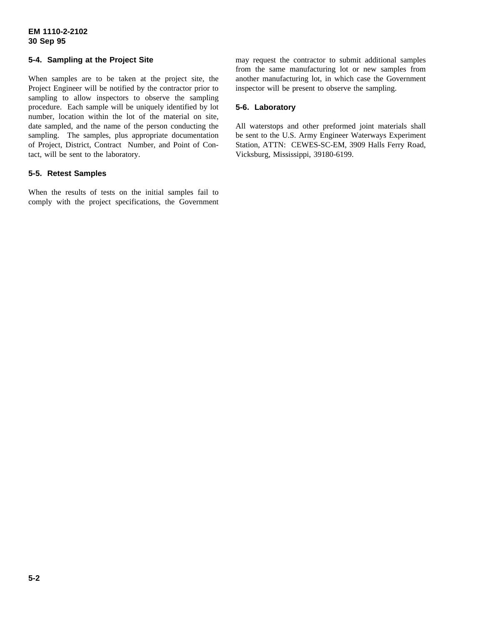# **EM 1110-2-2102 30 Sep 95**

# **5-4. Sampling at the Project Site**

When samples are to be taken at the project site, the Project Engineer will be notified by the contractor prior to sampling to allow inspectors to observe the sampling procedure. Each sample will be uniquely identified by lot number, location within the lot of the material on site, date sampled, and the name of the person conducting the sampling. The samples, plus appropriate documentation of Project, District, Contract Number, and Point of Contact, will be sent to the laboratory.

# **5-5. Retest Samples**

When the results of tests on the initial samples fail to comply with the project specifications, the Government

may request the contractor to submit additional samples from the same manufacturing lot or new samples from another manufacturing lot, in which case the Government inspector will be present to observe the sampling.

# **5-6. Laboratory**

All waterstops and other preformed joint materials shall be sent to the U.S. Army Engineer Waterways Experiment Station, ATTN: CEWES-SC-EM, 3909 Halls Ferry Road, Vicksburg, Mississippi, 39180-6199.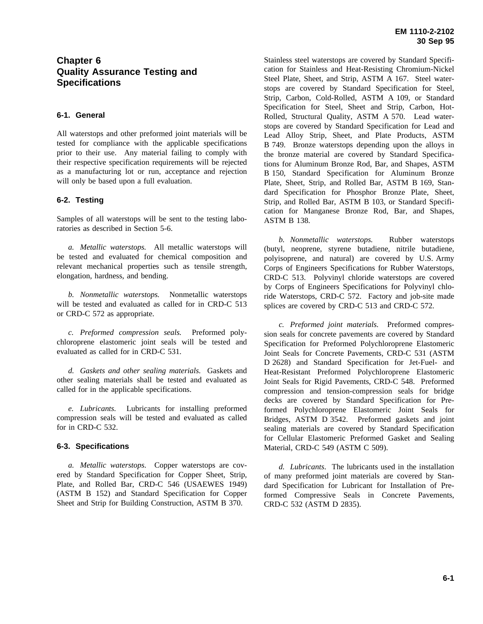# **Chapter 6 Quality Assurance Testing and Specifications**

## **6-1. General**

All waterstops and other preformed joint materials will be tested for compliance with the applicable specifications prior to their use. Any material failing to comply with their respective specification requirements will be rejected as a manufacturing lot or run, acceptance and rejection will only be based upon a full evaluation.

## **6-2. Testing**

Samples of all waterstops will be sent to the testing laboratories as described in Section 5-6.

*a. Metallic waterstops.* All metallic waterstops will be tested and evaluated for chemical composition and relevant mechanical properties such as tensile strength, elongation, hardness, and bending.

*b. Nonmetallic waterstops.* Nonmetallic waterstops will be tested and evaluated as called for in CRD-C 513 or CRD-C 572 as appropriate.

*c. Preformed compression seals.* Preformed polychloroprene elastomeric joint seals will be tested and evaluated as called for in CRD-C 531.

*d. Gaskets and other sealing materials.* Gaskets and other sealing materials shall be tested and evaluated as called for in the applicable specifications.

*e. Lubricants.* Lubricants for installing preformed compression seals will be tested and evaluated as called for in CRD-C 532.

#### **6-3. Specifications**

*a. Metallic waterstops.* Copper waterstops are covered by Standard Specification for Copper Sheet, Strip, Plate, and Rolled Bar, CRD-C 546 (USAEWES 1949) (ASTM B 152) and Standard Specification for Copper Sheet and Strip for Building Construction, ASTM B 370.

Stainless steel waterstops are covered by Standard Specification for Stainless and Heat-Resisting Chromium-Nickel Steel Plate, Sheet, and Strip, ASTM A 167. Steel waterstops are covered by Standard Specification for Steel, Strip, Carbon, Cold-Rolled, ASTM A 109, or Standard Specification for Steel, Sheet and Strip, Carbon, Hot-Rolled, Structural Quality, ASTM A 570. Lead waterstops are covered by Standard Specification for Lead and Lead Alloy Strip, Sheet, and Plate Products, ASTM B 749. Bronze waterstops depending upon the alloys in the bronze material are covered by Standard Specifications for Aluminum Bronze Rod, Bar, and Shapes, ASTM B 150, Standard Specification for Aluminum Bronze Plate, Sheet, Strip, and Rolled Bar, ASTM B 169, Standard Specification for Phosphor Bronze Plate, Sheet, Strip, and Rolled Bar, ASTM B 103, or Standard Specification for Manganese Bronze Rod, Bar, and Shapes, ASTM B 138.

*b. Nonmetallic waterstops.* Rubber waterstops (butyl, neoprene, styrene butadiene, nitrile butadiene, polyisoprene, and natural) are covered by U.S. Army Corps of Engineers Specifications for Rubber Waterstops, CRD-C 513. Polyvinyl chloride waterstops are covered by Corps of Engineers Specifications for Polyvinyl chloride Waterstops, CRD-C 572. Factory and job-site made splices are covered by CRD-C 513 and CRD-C 572.

*c. Preformed joint materials.* Preformed compression seals for concrete pavements are covered by Standard Specification for Preformed Polychloroprene Elastomeric Joint Seals for Concrete Pavements, CRD-C 531 (ASTM D 2628) and Standard Specification for Jet-Fuel- and Heat-Resistant Preformed Polychloroprene Elastomeric Joint Seals for Rigid Pavements, CRD-C 548. Preformed compression and tension-compression seals for bridge decks are covered by Standard Specification for Preformed Polychloroprene Elastomeric Joint Seals for Bridges, ASTM D 3542. Preformed gaskets and joint sealing materials are covered by Standard Specification for Cellular Elastomeric Preformed Gasket and Sealing Material, CRD-C 549 (ASTM C 509).

*d. Lubricants*. The lubricants used in the installation of many preformed joint materials are covered by Standard Specification for Lubricant for Installation of Preformed Compressive Seals in Concrete Pavements, CRD-C 532 (ASTM D 2835).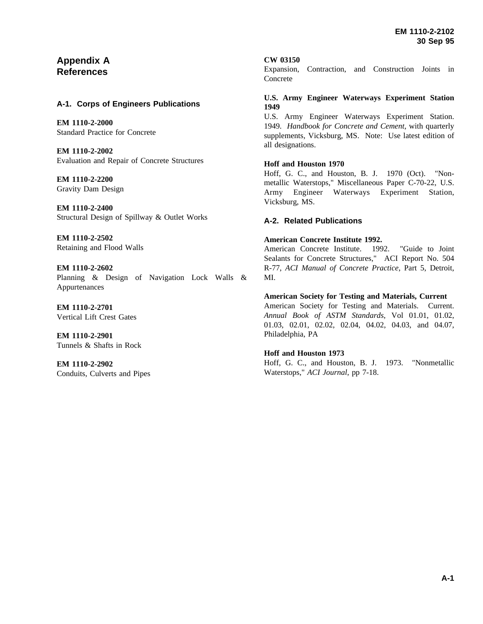# **Appendix A References**

# **A-1. Corps of Engineers Publications**

**EM 1110-2-2000** Standard Practice for Concrete

**EM 1110-2-2002** Evaluation and Repair of Concrete Structures

**EM 1110-2-2200** Gravity Dam Design

**EM 1110-2-2400** Structural Design of Spillway & Outlet Works

**EM 1110-2-2502** Retaining and Flood Walls

**EM 1110-2-2602** Planning & Design of Navigation Lock Walls & Appurtenances

**EM 1110-2-2701** Vertical Lift Crest Gates

**EM 1110-2-2901** Tunnels & Shafts in Rock

**EM 1110-2-2902** Conduits, Culverts and Pipes

## **CW 03150**

Expansion, Contraction, and Construction Joints in Concrete

# **U.S. Army Engineer Waterways Experiment Station 1949**

U.S. Army Engineer Waterways Experiment Station. 1949. *Handbook for Concrete and Cement*, with quarterly supplements, Vicksburg, MS. Note: Use latest edition of all designations.

# **Hoff and Houston 1970**

Hoff, G. C., and Houston, B. J. 1970 (Oct). "Nonmetallic Waterstops," Miscellaneous Paper C-70-22, U.S. Army Engineer Waterways Experiment Station, Vicksburg, MS.

# **A-2. Related Publications**

# **American Concrete Institute 1992.**

American Concrete Institute. 1992. "Guide to Joint Sealants for Concrete Structures," ACI Report No. 504 R-77, *ACI Manual of Concrete Practice*, Part 5, Detroit, MI.

# **American Society for Testing and Materials, Current**

American Society for Testing and Materials. Current. *Annual Book of ASTM Standards*, Vol 01.01, 01.02, 01.03, 02.01, 02.02, 02.04, 04.02, 04.03, and 04.07, Philadelphia, PA

# **Hoff and Houston 1973**

Hoff, G. C., and Houston, B. J. 1973. "Nonmetallic Waterstops," *ACI Journal*, pp 7-18.